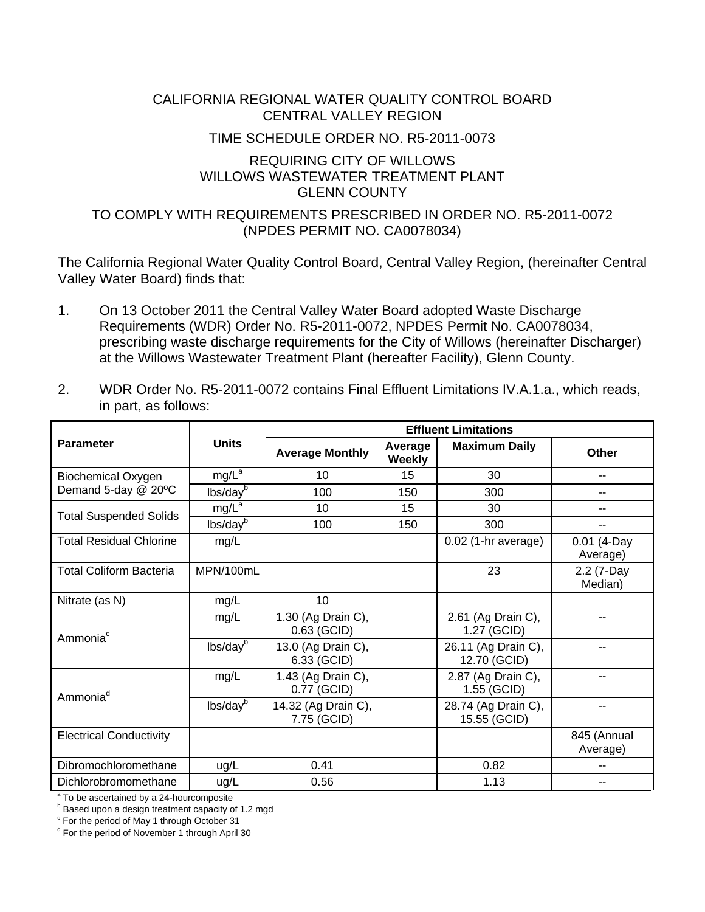### CALIFORNIA REGIONAL WATER QUALITY CONTROL BOARD CENTRAL VALLEY REGION

#### TIME SCHEDULE ORDER NO. R5-2011-0073

#### REQUIRING CITY OF WILLOWS WILLOWS WASTEWATER TREATMENT PLANT GLENN COUNTY

## TO COMPLY WITH REQUIREMENTS PRESCRIBED IN ORDER NO. R5-2011-0072 (NPDES PERMIT NO. CA0078034)

The California Regional Water Quality Control Board, Central Valley Region, (hereinafter Central Valley Water Board) finds that:

- 1. On 13 October 2011 the Central Valley Water Board adopted Waste Discharge Requirements (WDR) Order No. R5-2011-0072, NPDES Permit No. CA0078034, prescribing waste discharge requirements for the City of Willows (hereinafter Discharger) at the Willows Wastewater Treatment Plant (hereafter Facility), Glenn County.
- 2. WDR Order No. R5-2011-0072 contains Final Effluent Limitations IV.A.1.a., which reads, in part, as follows:

|                                |                      | <b>Effluent Limitations</b>        |                          |                                     |                           |  |  |
|--------------------------------|----------------------|------------------------------------|--------------------------|-------------------------------------|---------------------------|--|--|
| <b>Parameter</b>               | <b>Units</b>         | <b>Average Monthly</b>             | Average<br><b>Weekly</b> | <b>Maximum Daily</b>                | <b>Other</b>              |  |  |
| <b>Biochemical Oxygen</b>      | mg/L <sup>a</sup>    | 10                                 | 15                       | 30                                  | --                        |  |  |
| Demand 5-day @ 20°C            | lbs/day <sup>b</sup> | 100                                | 150                      | 300                                 | --                        |  |  |
| <b>Total Suspended Solids</b>  | mg/L <sup>a</sup>    | 10                                 | 15                       | 30                                  | --                        |  |  |
|                                | lbs/dayb             | 100                                | 150                      | 300                                 |                           |  |  |
| <b>Total Residual Chlorine</b> | mg/L                 |                                    |                          | $0.02$ (1-hr average)               | $0.01$ (4-Day<br>Average) |  |  |
| <b>Total Coliform Bacteria</b> | MPN/100mL            |                                    |                          | 23                                  | 2.2 (7-Day<br>Median)     |  |  |
| Nitrate (as N)                 | mg/L                 | 10                                 |                          |                                     |                           |  |  |
| Ammonia <sup>c</sup>           | mg/L                 | 1.30 (Ag Drain C),<br>0.63 (GCID)  |                          | 2.61 (Ag Drain C),<br>1.27 (GCID)   |                           |  |  |
|                                | lbs/day <sup>b</sup> | 13.0 (Ag Drain C),<br>6.33 (GCID)  |                          | 26.11 (Ag Drain C),<br>12.70 (GCID) |                           |  |  |
| Ammonia <sup>d</sup>           | mg/L                 | 1.43 (Ag Drain C),<br>0.77 (GCID)  |                          | 2.87 (Ag Drain C),<br>1.55 (GCID)   |                           |  |  |
|                                | lbs/day <sup>b</sup> | 14.32 (Ag Drain C),<br>7.75 (GCID) |                          | 28.74 (Ag Drain C),<br>15.55 (GCID) |                           |  |  |
| <b>Electrical Conductivity</b> |                      |                                    |                          |                                     | 845 (Annual<br>Average)   |  |  |
| Dibromochloromethane           | ug/L                 | 0.41                               |                          | 0.82                                |                           |  |  |
| Dichlorobromomethane           | ug/L                 | 0.56                               |                          | 1.13                                | --                        |  |  |

 $a^2$  To be ascertained by a 24-hourcomposite

**b** Based upon a design treatment capacity of 1.2 mgd

<sup>c</sup> For the period of May 1 through October 31

<sup>d</sup> For the period of November 1 through April 30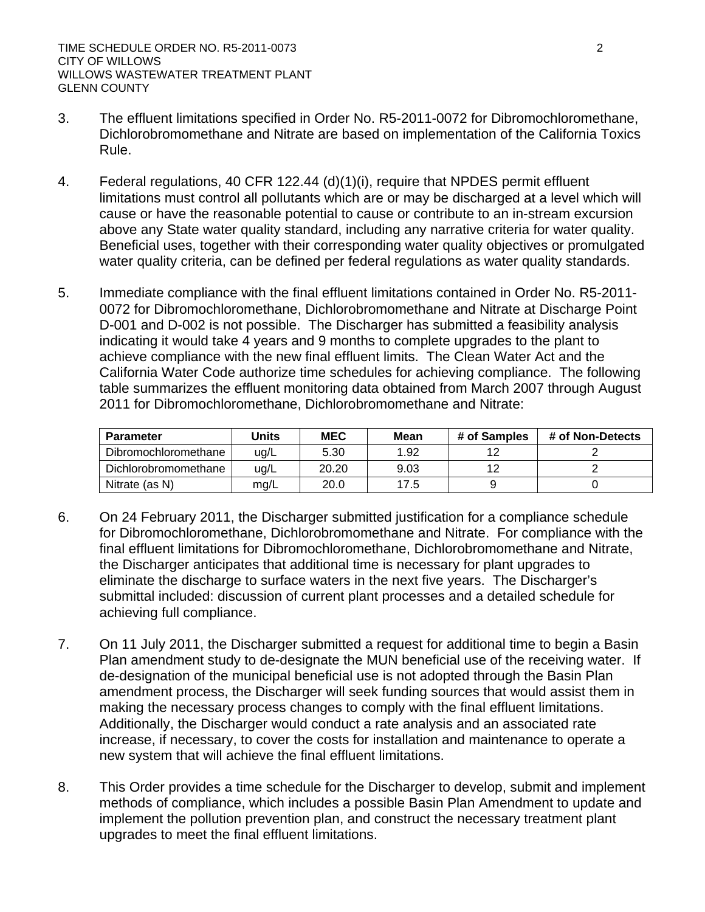- 3. The effluent limitations specified in Order No. R5-2011-0072 for Dibromochloromethane, Dichlorobromomethane and Nitrate are based on implementation of the California Toxics Rule.
- 4. Federal regulations, 40 CFR 122.44 (d)(1)(i), require that NPDES permit effluent limitations must control all pollutants which are or may be discharged at a level which will cause or have the reasonable potential to cause or contribute to an in-stream excursion above any State water quality standard, including any narrative criteria for water quality. Beneficial uses, together with their corresponding water quality objectives or promulgated water quality criteria, can be defined per federal regulations as water quality standards.
- 5. Immediate compliance with the final effluent limitations contained in Order No. R5-2011- 0072 for Dibromochloromethane, Dichlorobromomethane and Nitrate at Discharge Point D-001 and D-002 is not possible. The Discharger has submitted a feasibility analysis indicating it would take 4 years and 9 months to complete upgrades to the plant to achieve compliance with the new final effluent limits. The Clean Water Act and the California Water Code authorize time schedules for achieving compliance. The following table summarizes the effluent monitoring data obtained from March 2007 through August 2011 for Dibromochloromethane, Dichlorobromomethane and Nitrate:

| <b>Parameter</b>     | Jnits | <b>MEC</b> | Mean | # of Samples | # of Non-Detects |
|----------------------|-------|------------|------|--------------|------------------|
| Dibromochloromethane | ug/L  | 5.30       | 1.92 |              |                  |
| Dichlorobromomethane | ug/L  | 20.20      | 9.03 |              |                  |
| Nitrate (as N)       | mg/L  | 20.0       | 7.5  |              |                  |

- 6. On 24 February 2011, the Discharger submitted justification for a compliance schedule for Dibromochloromethane, Dichlorobromomethane and Nitrate. For compliance with the final effluent limitations for Dibromochloromethane, Dichlorobromomethane and Nitrate, the Discharger anticipates that additional time is necessary for plant upgrades to eliminate the discharge to surface waters in the next five years. The Discharger's submittal included: discussion of current plant processes and a detailed schedule for achieving full compliance.
- 7. On 11 July 2011, the Discharger submitted a request for additional time to begin a Basin Plan amendment study to de-designate the MUN beneficial use of the receiving water. If de-designation of the municipal beneficial use is not adopted through the Basin Plan amendment process, the Discharger will seek funding sources that would assist them in making the necessary process changes to comply with the final effluent limitations. Additionally, the Discharger would conduct a rate analysis and an associated rate increase, if necessary, to cover the costs for installation and maintenance to operate a new system that will achieve the final effluent limitations.
- 8. This Order provides a time schedule for the Discharger to develop, submit and implement methods of compliance, which includes a possible Basin Plan Amendment to update and implement the pollution prevention plan, and construct the necessary treatment plant upgrades to meet the final effluent limitations.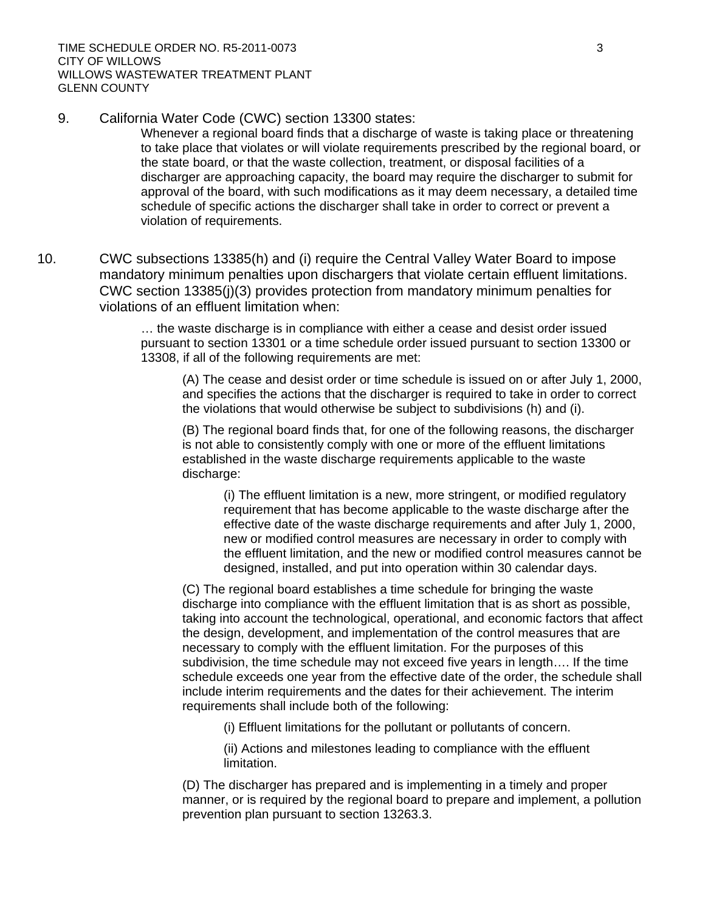9. California Water Code (CWC) section 13300 states:

Whenever a regional board finds that a discharge of waste is taking place or threatening to take place that violates or will violate requirements prescribed by the regional board, or the state board, or that the waste collection, treatment, or disposal facilities of a discharger are approaching capacity, the board may require the discharger to submit for approval of the board, with such modifications as it may deem necessary, a detailed time schedule of specific actions the discharger shall take in order to correct or prevent a violation of requirements.

10. CWC subsections 13385(h) and (i) require the Central Valley Water Board to impose mandatory minimum penalties upon dischargers that violate certain effluent limitations. CWC section 13385(j)(3) provides protection from mandatory minimum penalties for violations of an effluent limitation when:

> … the waste discharge is in compliance with either a cease and desist order issued pursuant to section 13301 or a time schedule order issued pursuant to section 13300 or 13308, if all of the following requirements are met:

(A) The cease and desist order or time schedule is issued on or after July 1, 2000, and specifies the actions that the discharger is required to take in order to correct the violations that would otherwise be subject to subdivisions (h) and (i).

(B) The regional board finds that, for one of the following reasons, the discharger is not able to consistently comply with one or more of the effluent limitations established in the waste discharge requirements applicable to the waste discharge:

(i) The effluent limitation is a new, more stringent, or modified regulatory requirement that has become applicable to the waste discharge after the effective date of the waste discharge requirements and after July 1, 2000, new or modified control measures are necessary in order to comply with the effluent limitation, and the new or modified control measures cannot be designed, installed, and put into operation within 30 calendar days.

(C) The regional board establishes a time schedule for bringing the waste discharge into compliance with the effluent limitation that is as short as possible, taking into account the technological, operational, and economic factors that affect the design, development, and implementation of the control measures that are necessary to comply with the effluent limitation. For the purposes of this subdivision, the time schedule may not exceed five years in length…. If the time schedule exceeds one year from the effective date of the order, the schedule shall include interim requirements and the dates for their achievement. The interim requirements shall include both of the following:

(i) Effluent limitations for the pollutant or pollutants of concern.

(ii) Actions and milestones leading to compliance with the effluent limitation.

(D) The discharger has prepared and is implementing in a timely and proper manner, or is required by the regional board to prepare and implement, a pollution prevention plan pursuant to section 13263.3.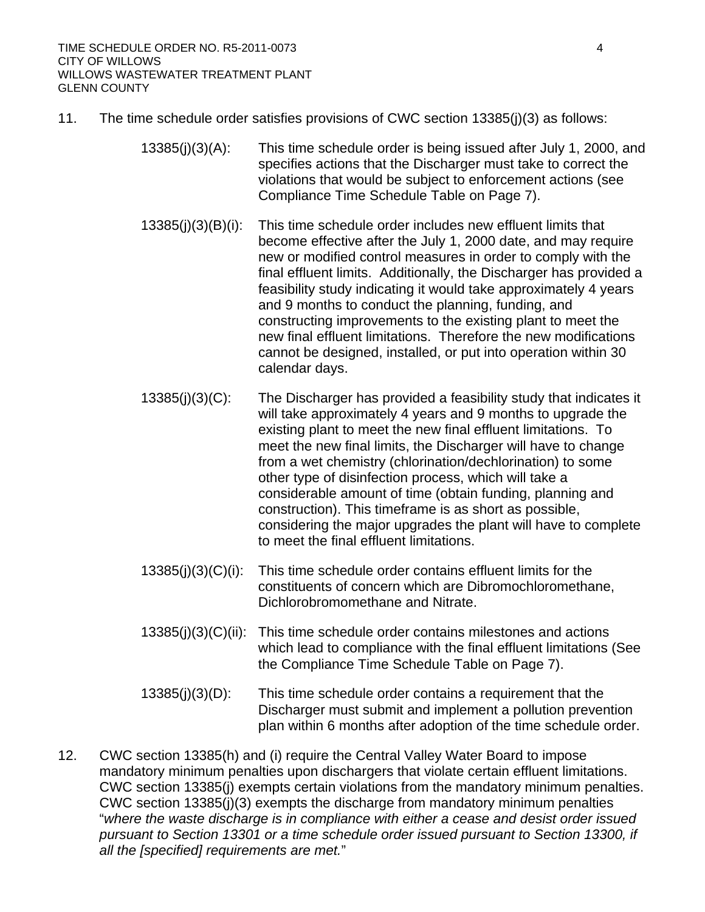- 11. The time schedule order satisfies provisions of CWC section 13385(j)(3) as follows:
	- 13385(j)(3)(A): This time schedule order is being issued after July 1, 2000, and specifies actions that the Discharger must take to correct the violations that would be subject to enforcement actions (see Compliance Time Schedule Table on Page 7).
	- 13385(j)(3)(B)(i): This time schedule order includes new effluent limits that become effective after the July 1, 2000 date, and may require new or modified control measures in order to comply with the final effluent limits. Additionally, the Discharger has provided a feasibility study indicating it would take approximately 4 years and 9 months to conduct the planning, funding, and constructing improvements to the existing plant to meet the new final effluent limitations. Therefore the new modifications cannot be designed, installed, or put into operation within 30 calendar days.
	- 13385(j)(3)(C): The Discharger has provided a feasibility study that indicates it will take approximately 4 years and 9 months to upgrade the existing plant to meet the new final effluent limitations. To meet the new final limits, the Discharger will have to change from a wet chemistry (chlorination/dechlorination) to some other type of disinfection process, which will take a considerable amount of time (obtain funding, planning and construction). This timeframe is as short as possible, considering the major upgrades the plant will have to complete to meet the final effluent limitations.
	- 13385(j)(3)(C)(i): This time schedule order contains effluent limits for the constituents of concern which are Dibromochloromethane, Dichlorobromomethane and Nitrate.
	- 13385(j)(3)(C)(ii): This time schedule order contains milestones and actions which lead to compliance with the final effluent limitations (See the Compliance Time Schedule Table on Page 7).
	- 13385(j)(3)(D): This time schedule order contains a requirement that the Discharger must submit and implement a pollution prevention plan within 6 months after adoption of the time schedule order.
- 12. CWC section 13385(h) and (i) require the Central Valley Water Board to impose mandatory minimum penalties upon dischargers that violate certain effluent limitations. CWC section 13385(j) exempts certain violations from the mandatory minimum penalties. CWC section 13385(j)(3) exempts the discharge from mandatory minimum penalties "*where the waste discharge is in compliance with either a cease and desist order issued pursuant to Section 13301 or a time schedule order issued pursuant to Section 13300, if all the [specified] requirements are met.*"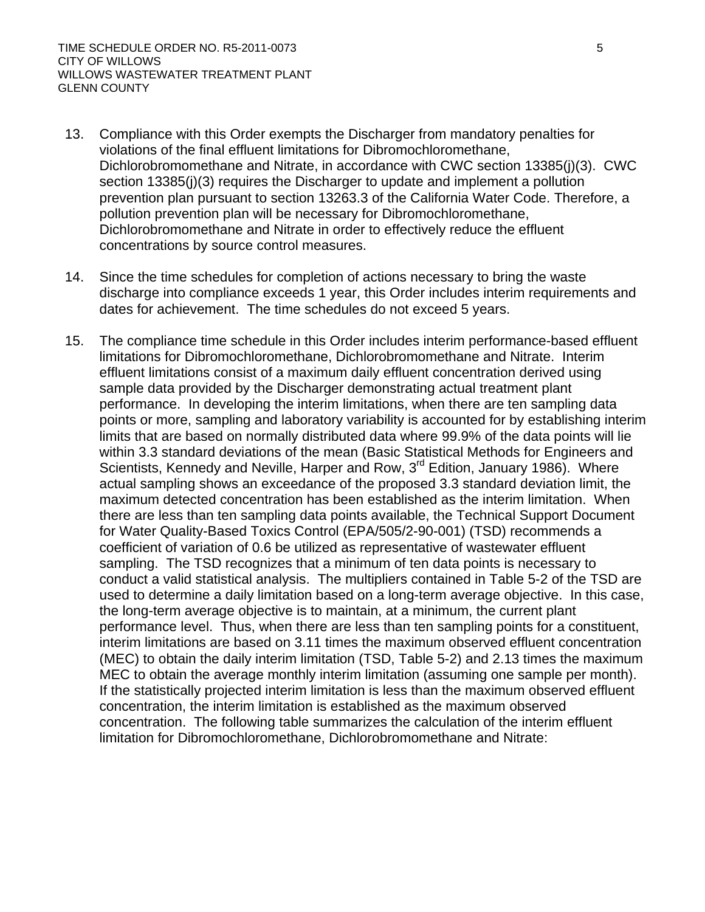- 13. Compliance with this Order exempts the Discharger from mandatory penalties for violations of the final effluent limitations for Dibromochloromethane, Dichlorobromomethane and Nitrate, in accordance with CWC section 13385(j)(3). CWC section 13385(j)(3) requires the Discharger to update and implement a pollution prevention plan pursuant to section 13263.3 of the California Water Code. Therefore, a pollution prevention plan will be necessary for Dibromochloromethane, Dichlorobromomethane and Nitrate in order to effectively reduce the effluent concentrations by source control measures.
- 14. Since the time schedules for completion of actions necessary to bring the waste discharge into compliance exceeds 1 year, this Order includes interim requirements and dates for achievement. The time schedules do not exceed 5 years.
- 15. The compliance time schedule in this Order includes interim performance-based effluent limitations for Dibromochloromethane, Dichlorobromomethane and Nitrate. Interim effluent limitations consist of a maximum daily effluent concentration derived using sample data provided by the Discharger demonstrating actual treatment plant performance. In developing the interim limitations, when there are ten sampling data points or more, sampling and laboratory variability is accounted for by establishing interim limits that are based on normally distributed data where 99.9% of the data points will lie within 3.3 standard deviations of the mean (Basic Statistical Methods for Engineers and Scientists, Kennedy and Neville, Harper and Row, 3<sup>rd</sup> Edition, January 1986). Where actual sampling shows an exceedance of the proposed 3.3 standard deviation limit, the maximum detected concentration has been established as the interim limitation. When there are less than ten sampling data points available, the Technical Support Document for Water Quality-Based Toxics Control (EPA/505/2-90-001) (TSD) recommends a coefficient of variation of 0.6 be utilized as representative of wastewater effluent sampling. The TSD recognizes that a minimum of ten data points is necessary to conduct a valid statistical analysis. The multipliers contained in Table 5-2 of the TSD are used to determine a daily limitation based on a long-term average objective. In this case, the long-term average objective is to maintain, at a minimum, the current plant performance level. Thus, when there are less than ten sampling points for a constituent, interim limitations are based on 3.11 times the maximum observed effluent concentration (MEC) to obtain the daily interim limitation (TSD, Table 5-2) and 2.13 times the maximum MEC to obtain the average monthly interim limitation (assuming one sample per month). If the statistically projected interim limitation is less than the maximum observed effluent concentration, the interim limitation is established as the maximum observed concentration. The following table summarizes the calculation of the interim effluent limitation for Dibromochloromethane, Dichlorobromomethane and Nitrate: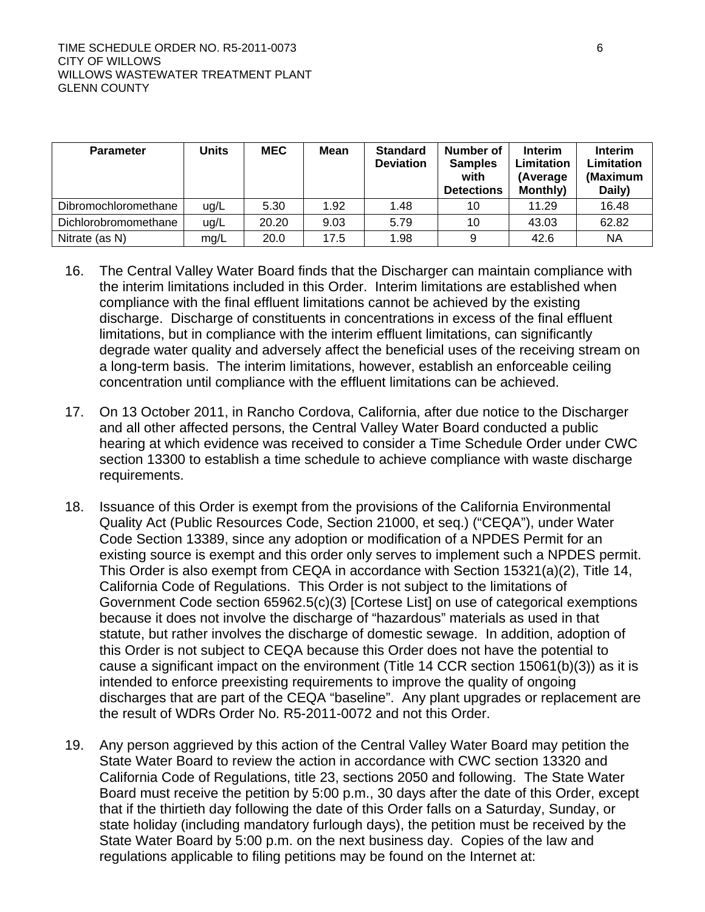| <b>Parameter</b>     | Units | <b>MEC</b> | Mean | <b>Standard</b><br><b>Deviation</b> | Number of<br><b>Samples</b><br>with<br><b>Detections</b> | <b>Interim</b><br>Limitation<br>(Average<br>Monthly) | <b>Interim</b><br>Limitation<br>(Maximum<br>Daily) |
|----------------------|-------|------------|------|-------------------------------------|----------------------------------------------------------|------------------------------------------------------|----------------------------------------------------|
| Dibromochloromethane | ug/L  | 5.30       | 1.92 | 1.48                                | 10                                                       | 11.29                                                | 16.48                                              |
| Dichlorobromomethane | ug/L  | 20.20      | 9.03 | 5.79                                | 10                                                       | 43.03                                                | 62.82                                              |
| Nitrate (as N)       | mq/L  | 20.0       | 17.5 | 1.98                                | 9                                                        | 42.6                                                 | <b>NA</b>                                          |

- 16. The Central Valley Water Board finds that the Discharger can maintain compliance with the interim limitations included in this Order. Interim limitations are established when compliance with the final effluent limitations cannot be achieved by the existing discharge. Discharge of constituents in concentrations in excess of the final effluent limitations, but in compliance with the interim effluent limitations, can significantly degrade water quality and adversely affect the beneficial uses of the receiving stream on a long-term basis. The interim limitations, however, establish an enforceable ceiling concentration until compliance with the effluent limitations can be achieved.
- 17. On 13 October 2011, in Rancho Cordova, California, after due notice to the Discharger and all other affected persons, the Central Valley Water Board conducted a public hearing at which evidence was received to consider a Time Schedule Order under CWC section 13300 to establish a time schedule to achieve compliance with waste discharge requirements.
- 18. Issuance of this Order is exempt from the provisions of the California Environmental Quality Act (Public Resources Code, Section 21000, et seq.) ("CEQA"), under Water Code Section 13389, since any adoption or modification of a NPDES Permit for an existing source is exempt and this order only serves to implement such a NPDES permit. This Order is also exempt from CEQA in accordance with Section 15321(a)(2), Title 14, California Code of Regulations. This Order is not subject to the limitations of Government Code section 65962.5(c)(3) [Cortese List] on use of categorical exemptions because it does not involve the discharge of "hazardous" materials as used in that statute, but rather involves the discharge of domestic sewage. In addition, adoption of this Order is not subject to CEQA because this Order does not have the potential to cause a significant impact on the environment (Title 14 CCR section 15061(b)(3)) as it is intended to enforce preexisting requirements to improve the quality of ongoing discharges that are part of the CEQA "baseline". Any plant upgrades or replacement are the result of WDRs Order No. R5-2011-0072 and not this Order.
- 19. Any person aggrieved by this action of the Central Valley Water Board may petition the State Water Board to review the action in accordance with CWC section 13320 and California Code of Regulations, title 23, sections 2050 and following. The State Water Board must receive the petition by 5:00 p.m., 30 days after the date of this Order, except that if the thirtieth day following the date of this Order falls on a Saturday, Sunday, or state holiday (including mandatory furlough days), the petition must be received by the State Water Board by 5:00 p.m. on the next business day. Copies of the law and regulations applicable to filing petitions may be found on the Internet at: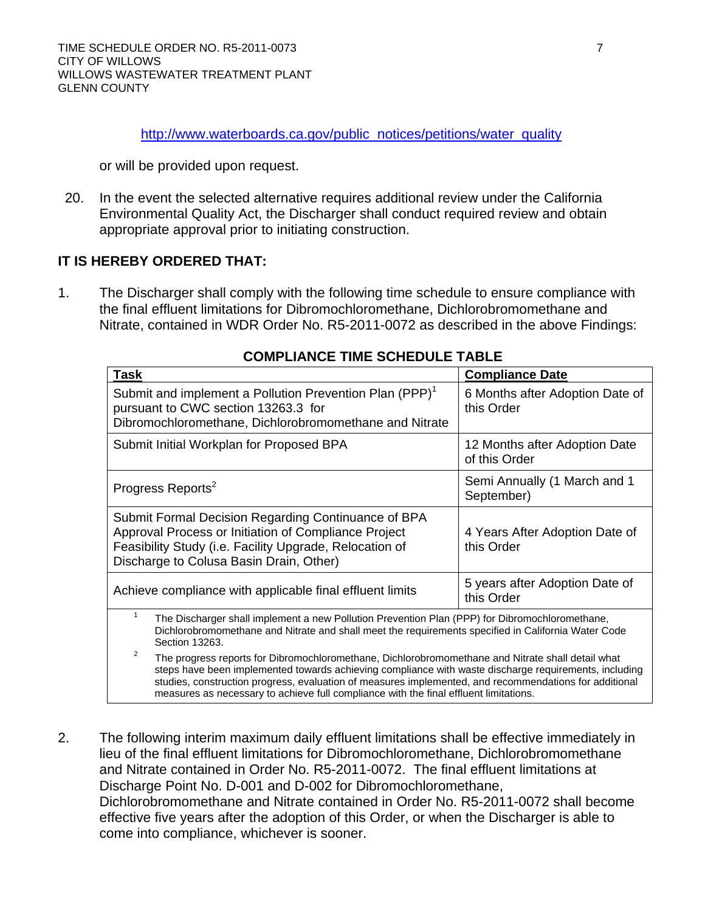[http://www.waterboards.ca.gov/public\\_notices/petitions/water\\_quality](http://www.waterboards.ca.gov/public_notices/petitions/water_quality)

or will be provided upon request.

20. In the event the selected alternative requires additional review under the California Environmental Quality Act, the Discharger shall conduct required review and obtain appropriate approval prior to initiating construction.

### **IT IS HEREBY ORDERED THAT:**

1. The Discharger shall comply with the following time schedule to ensure compliance with the final effluent limitations for Dibromochloromethane, Dichlorobromomethane and Nitrate, contained in WDR Order No. R5-2011-0072 as described in the above Findings:

| VMI LIANVL IIML VVIILDVLL IADLL                                                                                                                                                                                                                                                                                                                   |                                                |  |  |  |  |  |
|---------------------------------------------------------------------------------------------------------------------------------------------------------------------------------------------------------------------------------------------------------------------------------------------------------------------------------------------------|------------------------------------------------|--|--|--|--|--|
| Task                                                                                                                                                                                                                                                                                                                                              | <b>Compliance Date</b>                         |  |  |  |  |  |
| Submit and implement a Pollution Prevention Plan (PPP) <sup>1</sup><br>pursuant to CWC section 13263.3 for<br>Dibromochloromethane, Dichlorobromomethane and Nitrate                                                                                                                                                                              | 6 Months after Adoption Date of<br>this Order  |  |  |  |  |  |
| Submit Initial Workplan for Proposed BPA                                                                                                                                                                                                                                                                                                          | 12 Months after Adoption Date<br>of this Order |  |  |  |  |  |
| Progress Reports <sup>2</sup>                                                                                                                                                                                                                                                                                                                     | Semi Annually (1 March and 1<br>September)     |  |  |  |  |  |
| Submit Formal Decision Regarding Continuance of BPA<br>Approval Process or Initiation of Compliance Project<br>Feasibility Study (i.e. Facility Upgrade, Relocation of<br>Discharge to Colusa Basin Drain, Other)                                                                                                                                 | 4 Years After Adoption Date of<br>this Order   |  |  |  |  |  |
| Achieve compliance with applicable final effluent limits                                                                                                                                                                                                                                                                                          | 5 years after Adoption Date of<br>this Order   |  |  |  |  |  |
| $\mathbf{1}$<br>The Discharger shall implement a new Pollution Prevention Plan (PPP) for Dibromochloromethane,<br>Dichlorobromomethane and Nitrate and shall meet the requirements specified in California Water Code<br>Section 13263.<br>2<br>The progress reports for Dibromochloromethane, Dichlorobromomethane and Nitrate shall detail what |                                                |  |  |  |  |  |
| steps have been implemented towards achieving compliance with waste discharge requirements, including<br>studies, construction progress, evaluation of measures implemented, and recommendations for additional<br>measures as necessary to achieve full compliance with the final effluent limitations.                                          |                                                |  |  |  |  |  |

# **COMPLIANCE TIME SCHEDULE TABLE**

2. The following interim maximum daily effluent limitations shall be effective immediately in lieu of the final effluent limitations for Dibromochloromethane, Dichlorobromomethane and Nitrate contained in Order No. R5-2011-0072. The final effluent limitations at Discharge Point No. D-001 and D-002 for Dibromochloromethane, Dichlorobromomethane and Nitrate contained in Order No. R5-2011-0072 shall become effective five years after the adoption of this Order, or when the Discharger is able to come into compliance, whichever is sooner.